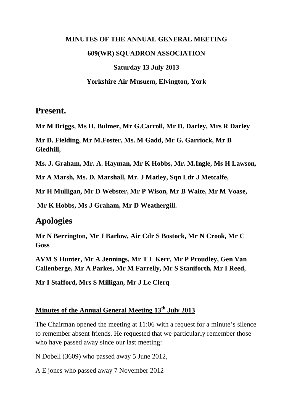# **MINUTES OF THE ANNUAL GENERAL MEETING 609(WR) SQUADRON ASSOCIATION Saturday 13 July 2013**

#### **Yorkshire Air Musuem, Elvington, York**

### **Present.**

**Mr M Briggs, Ms H. Bulmer, Mr G.Carroll, Mr D. Darley, Mrs R Darley**

**Mr D. Fielding, Mr M.Foster, Ms. M Gadd, Mr G. Garriock, Mr B Gledhill,**

**Ms. J. Graham, Mr. A. Hayman, Mr K Hobbs, Mr. M.Ingle, Ms H Lawson,**

**Mr A Marsh, Ms. D. Marshall, Mr. J Matley, Sqn Ldr J Metcalfe,** 

**Mr H Mulligan, Mr D Webster, Mr P Wison, Mr B Waite, Mr M Voase,**

**Mr K Hobbs, Ms J Graham, Mr D Weathergill.**

## **Apologies**

**Mr N Berrington, Mr J Barlow, Air Cdr S Bostock, Mr N Crook, Mr C Goss**

**AVM S Hunter, Mr A Jennings, Mr T L Kerr, Mr P Proudley, Gen Van Callenberge, Mr A Parkes, Mr M Farrelly, Mr S Staniforth, Mr I Reed,**

**Mr I Stafford, Mrs S Milligan, Mr J Le Clerq**

#### **Minutes of the Annual General Meeting 13th July 2013**

The Chairman opened the meeting at 11:06 with a request for a minute's silence to remember absent friends. He requested that we particularly remember those who have passed away since our last meeting:

N Dobell (3609) who passed away 5 June 2012,

A E jones who passed away 7 November 2012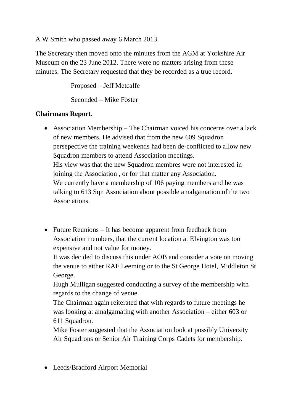A W Smith who passed away 6 March 2013.

The Secretary then moved onto the minutes from the AGM at Yorkshire Air Museum on the 23 June 2012. There were no matters arising from these minutes. The Secretary requested that they be recorded as a true record.

Proposed – Jeff Metcalfe

Seconded – Mike Foster

#### **Chairmans Report.**

- Association Membership The Chairman voiced his concerns over a lack of new members. He advised that from the new 609 Squadron persepective the training weekends had been de-conflicted to allow new Squadron members to attend Association meetings. His view was that the new Squadron membres were not interested in joining the Association , or for that matter any Association. We currently have a membership of 106 paying members and he was talking to 613 Sqn Association about possible amalgamation of the two Associations.
- Future Reunions It has become apparent from feedback from Association members, that the current location at Elvington was too expensive and not value for money.

It was decided to discuss this under AOB and consider a vote on moving the venue to either RAF Leeming or to the St George Hotel, Middleton St George.

Hugh Mulligan suggested conducting a survey of the membership with regards to the change of venue.

The Chairman again reiterated that with regards to future meetings he was looking at amalgamating with another Association – either 603 or 611 Squadron.

Mike Foster suggested that the Association look at possibly University Air Squadrons or Senior Air Training Corps Cadets for membership.

Leeds/Bradford Airport Memorial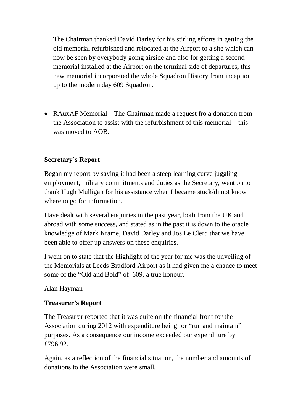The Chairman thanked David Darley for his stirling efforts in getting the old memorial refurbished and relocated at the Airport to a site which can now be seen by everybody going airside and also for getting a second memorial installed at the Airport on the terminal side of departures, this new memorial incorporated the whole Squadron History from inception up to the modern day 609 Squadron.

 RAuxAF Memorial – The Chairman made a request fro a donation from the Association to assist with the refurbishment of this memorial – this was moved to AOB.

#### **Secretary's Report**

Began my report by saying it had been a steep learning curve juggling employment, military commitments and duties as the Secretary, went on to thank Hugh Mulligan for his assistance when I became stuck/di not know where to go for information.

Have dealt with several enquiries in the past year, both from the UK and abroad with some success, and stated as in the past it is down to the oracle knowledge of Mark Krame, David Darley and Jos Le Clerq that we have been able to offer up answers on these enquiries.

I went on to state that the Highlight of the year for me was the unveiling of the Memorials at Leeds Bradford Airport as it had given me a chance to meet some of the "Old and Bold" of 609, a true honour.

Alan Hayman

#### **Treasurer's Report**

The Treasurer reported that it was quite on the financial front for the Association during 2012 with expenditure being for "run and maintain" purposes. As a consequence our income exceeded our expenditure by £796.92.

Again, as a reflection of the financial situation, the number and amounts of donations to the Association were small.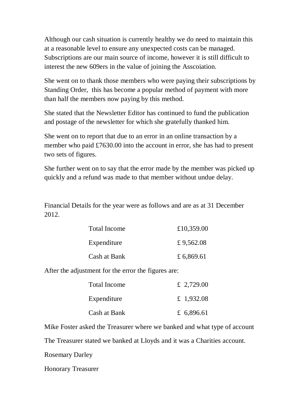Although our cash situation is currently healthy we do need to maintain this at a reasonable level to ensure any unexpected costs can be managed. Subscriptions are our main source of income, however it is still difficult to interest the new 609ers in the value of joining the Asscoiation.

She went on to thank those members who were paying their subscriptions by Standing Order, this has become a popular method of payment with more than half the members now paying by this method.

She stated that the Newsletter Editor has continued to fund the publication and postage of the newsletter for which she gratefully thanked him.

She went on to report that due to an error in an online transaction by a member who paid £7630.00 into the account in error, she has had to present two sets of figures.

She further went on to say that the error made by the member was picked up quickly and a refund was made to that member without undue delay.

Financial Details for the year were as follows and are as at 31 December 2012.

| <b>Total Income</b> | £10,359.00 |
|---------------------|------------|
| Expenditure         | £9,562.08  |
| Cash at Bank        | £ 6,869.61 |

After the adjustment for the error the figures are:

| <b>Total Income</b> | £ 2,729.00 |
|---------------------|------------|
| Expenditure         | £ 1,932.08 |
| Cash at Bank        | £ 6,896.61 |

Mike Foster asked the Treasurer where we banked and what type of account

The Treasurer stated we banked at Lloyds and it was a Charities account.

Rosemary Darley

Honorary Treasurer